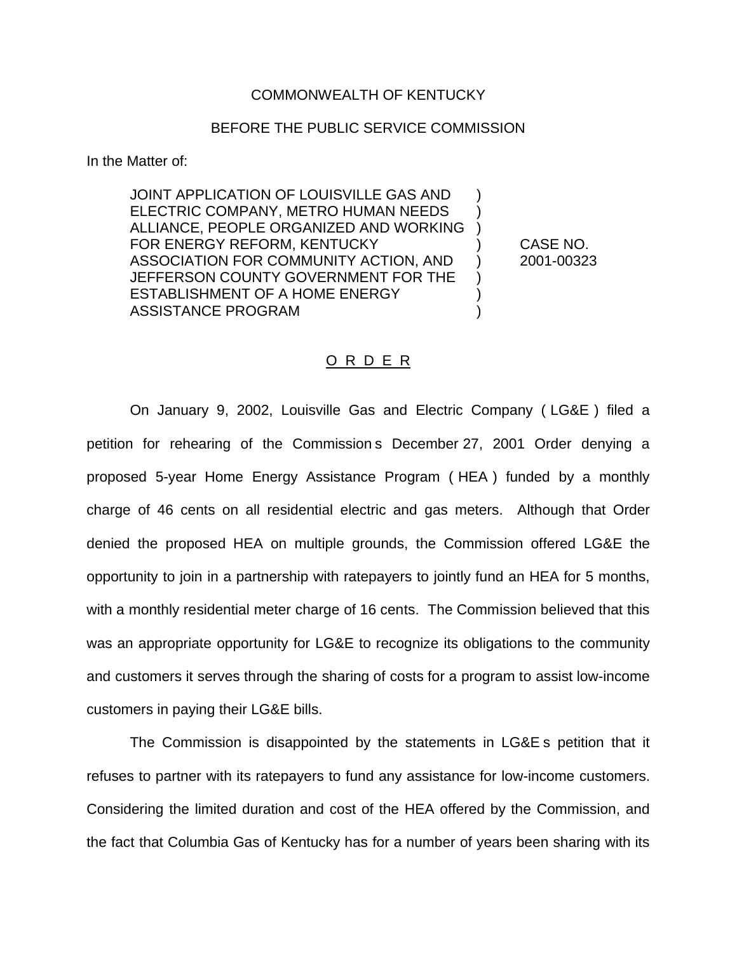## COMMONWEALTH OF KENTUCKY

## BEFORE THE PUBLIC SERVICE COMMISSION

In the Matter of:

JOINT APPLICATION OF LOUISVILLE GAS AND ) ELECTRIC COMPANY, METRO HUMAN NEEDS ) ALLIANCE, PEOPLE ORGANIZED AND WORKING ) FOR ENERGY REFORM, KENTUCKY (CASE NO. ASSOCIATION FOR COMMUNITY ACTION, AND ) 2001-00323 JEFFERSON COUNTY GOVERNMENT FOR THE ESTABLISHMENT OF A HOME ENERGY  $)$ ASSISTANCE PROGRAM (1999)

## O R D E R

On January 9, 2002, Louisville Gas and Electric Company ( LG&E ) filed a petition for rehearing of the Commission s December 27, 2001 Order denying a proposed 5-year Home Energy Assistance Program ( HEA ) funded by a monthly charge of 46 cents on all residential electric and gas meters. Although that Order denied the proposed HEA on multiple grounds, the Commission offered LG&E the opportunity to join in a partnership with ratepayers to jointly fund an HEA for 5 months, with a monthly residential meter charge of 16 cents. The Commission believed that this was an appropriate opportunity for LG&E to recognize its obligations to the community and customers it serves through the sharing of costs for a program to assist low-income customers in paying their LG&E bills.

The Commission is disappointed by the statements in LG&E s petition that it refuses to partner with its ratepayers to fund any assistance for low-income customers. Considering the limited duration and cost of the HEA offered by the Commission, and the fact that Columbia Gas of Kentucky has for a number of years been sharing with its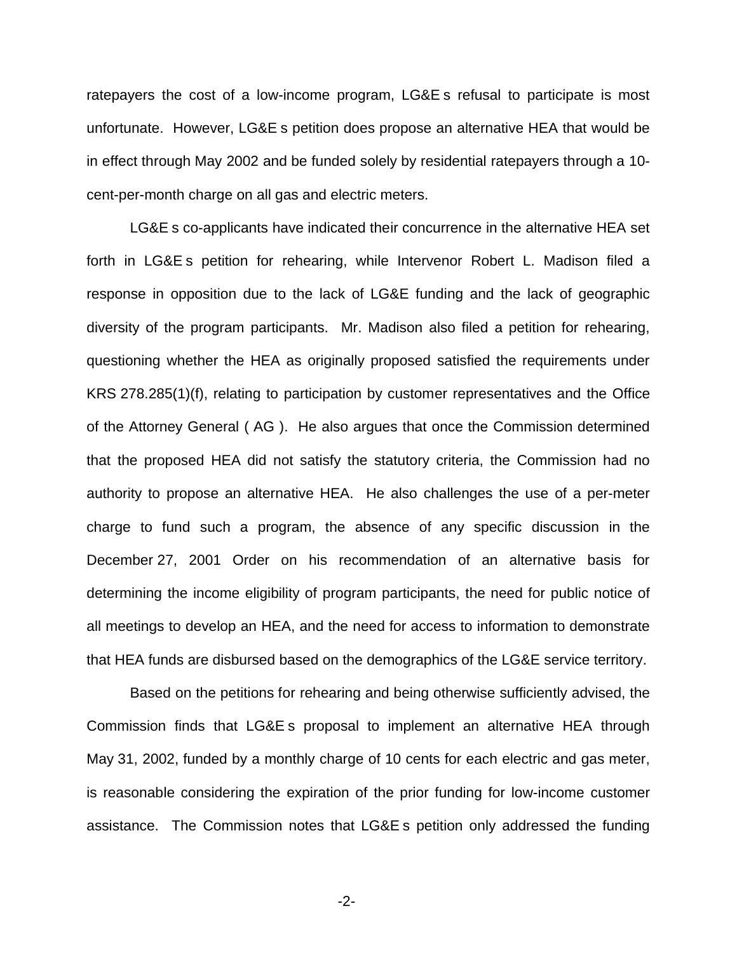ratepayers the cost of a low-income program, LG&E s refusal to participate is most unfortunate. However, LG&E s petition does propose an alternative HEA that would be in effect through May 2002 and be funded solely by residential ratepayers through a 10 cent-per-month charge on all gas and electric meters.

LG&E s co-applicants have indicated their concurrence in the alternative HEA set forth in LG&E s petition for rehearing, while Intervenor Robert L. Madison filed a response in opposition due to the lack of LG&E funding and the lack of geographic diversity of the program participants. Mr. Madison also filed a petition for rehearing, questioning whether the HEA as originally proposed satisfied the requirements under KRS 278.285(1)(f), relating to participation by customer representatives and the Office of the Attorney General ( AG ). He also argues that once the Commission determined that the proposed HEA did not satisfy the statutory criteria, the Commission had no authority to propose an alternative HEA. He also challenges the use of a per-meter charge to fund such a program, the absence of any specific discussion in the December 27, 2001 Order on his recommendation of an alternative basis for determining the income eligibility of program participants, the need for public notice of all meetings to develop an HEA, and the need for access to information to demonstrate that HEA funds are disbursed based on the demographics of the LG&E service territory.

Based on the petitions for rehearing and being otherwise sufficiently advised, the Commission finds that LG&E s proposal to implement an alternative HEA through May 31, 2002, funded by a monthly charge of 10 cents for each electric and gas meter, is reasonable considering the expiration of the prior funding for low-income customer assistance. The Commission notes that LG&E s petition only addressed the funding

-2-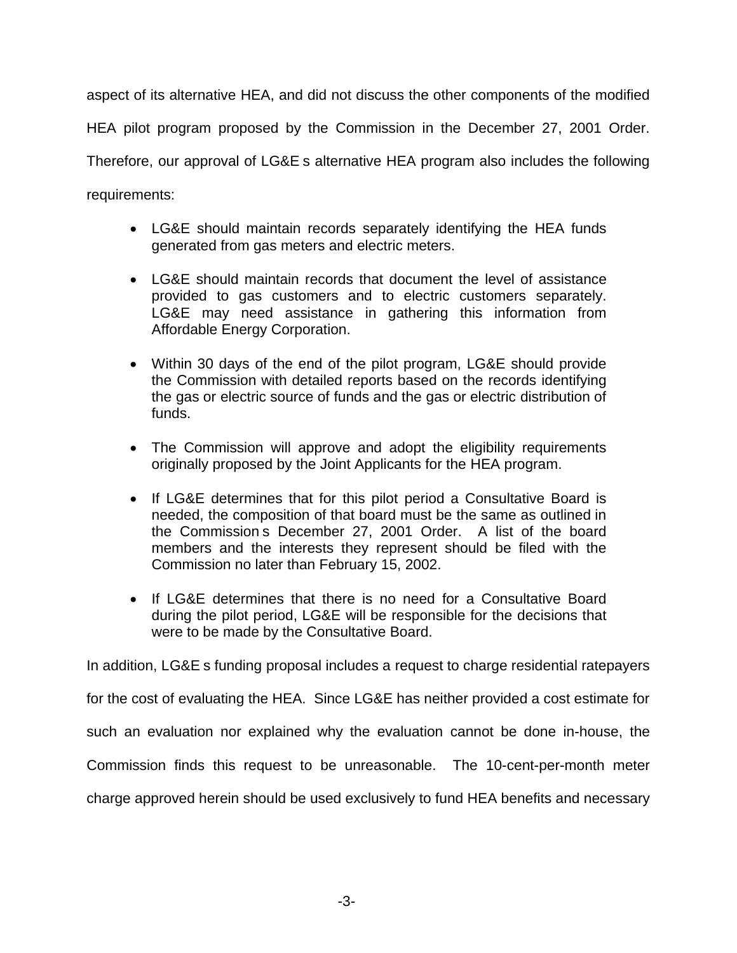aspect of its alternative HEA, and did not discuss the other components of the modified HEA pilot program proposed by the Commission in the December 27, 2001 Order. Therefore, our approval of LG&E s alternative HEA program also includes the following requirements:

- LG&E should maintain records separately identifying the HEA funds generated from gas meters and electric meters.
- LG&E should maintain records that document the level of assistance provided to gas customers and to electric customers separately. LG&E may need assistance in gathering this information from Affordable Energy Corporation.
- Within 30 days of the end of the pilot program, LG&E should provide the Commission with detailed reports based on the records identifying the gas or electric source of funds and the gas or electric distribution of funds.
- The Commission will approve and adopt the eligibility requirements originally proposed by the Joint Applicants for the HEA program.
- If LG&E determines that for this pilot period a Consultative Board is needed, the composition of that board must be the same as outlined in the Commission s December 27, 2001 Order. A list of the board members and the interests they represent should be filed with the Commission no later than February 15, 2002.
- If LG&E determines that there is no need for a Consultative Board during the pilot period, LG&E will be responsible for the decisions that were to be made by the Consultative Board.

In addition, LG&E s funding proposal includes a request to charge residential ratepayers

for the cost of evaluating the HEA. Since LG&E has neither provided a cost estimate for

such an evaluation nor explained why the evaluation cannot be done in-house, the

Commission finds this request to be unreasonable. The 10-cent-per-month meter

charge approved herein should be used exclusively to fund HEA benefits and necessary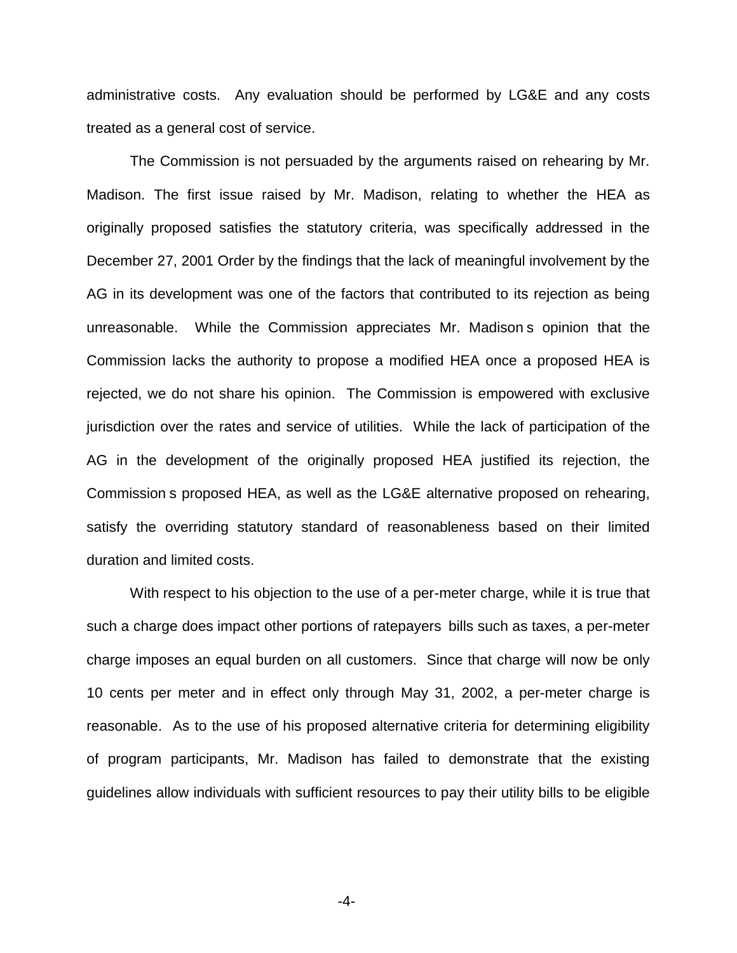administrative costs. Any evaluation should be performed by LG&E and any costs treated as a general cost of service.

The Commission is not persuaded by the arguments raised on rehearing by Mr. Madison. The first issue raised by Mr. Madison, relating to whether the HEA as originally proposed satisfies the statutory criteria, was specifically addressed in the December 27, 2001 Order by the findings that the lack of meaningful involvement by the AG in its development was one of the factors that contributed to its rejection as being unreasonable. While the Commission appreciates Mr. Madison s opinion that the Commission lacks the authority to propose a modified HEA once a proposed HEA is rejected, we do not share his opinion. The Commission is empowered with exclusive jurisdiction over the rates and service of utilities. While the lack of participation of the AG in the development of the originally proposed HEA justified its rejection, the Commission s proposed HEA, as well as the LG&E alternative proposed on rehearing, satisfy the overriding statutory standard of reasonableness based on their limited duration and limited costs.

With respect to his objection to the use of a per-meter charge, while it is true that such a charge does impact other portions of ratepayers bills such as taxes, a per-meter charge imposes an equal burden on all customers. Since that charge will now be only 10 cents per meter and in effect only through May 31, 2002, a per-meter charge is reasonable. As to the use of his proposed alternative criteria for determining eligibility of program participants, Mr. Madison has failed to demonstrate that the existing guidelines allow individuals with sufficient resources to pay their utility bills to be eligible

-4-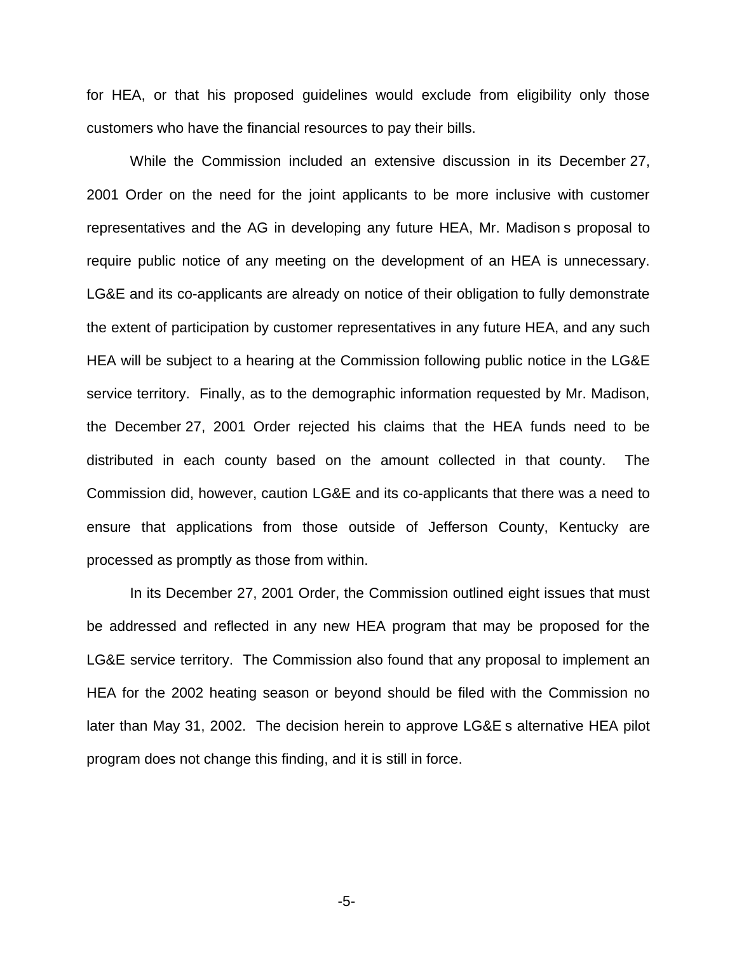for HEA, or that his proposed guidelines would exclude from eligibility only those customers who have the financial resources to pay their bills.

While the Commission included an extensive discussion in its December 27, 2001 Order on the need for the joint applicants to be more inclusive with customer representatives and the AG in developing any future HEA, Mr. Madison s proposal to require public notice of any meeting on the development of an HEA is unnecessary. LG&E and its co-applicants are already on notice of their obligation to fully demonstrate the extent of participation by customer representatives in any future HEA, and any such HEA will be subject to a hearing at the Commission following public notice in the LG&E service territory. Finally, as to the demographic information requested by Mr. Madison, the December 27, 2001 Order rejected his claims that the HEA funds need to be distributed in each county based on the amount collected in that county. The Commission did, however, caution LG&E and its co-applicants that there was a need to ensure that applications from those outside of Jefferson County, Kentucky are processed as promptly as those from within.

In its December 27, 2001 Order, the Commission outlined eight issues that must be addressed and reflected in any new HEA program that may be proposed for the LG&E service territory. The Commission also found that any proposal to implement an HEA for the 2002 heating season or beyond should be filed with the Commission no later than May 31, 2002. The decision herein to approve LG&E s alternative HEA pilot program does not change this finding, and it is still in force.

-5-